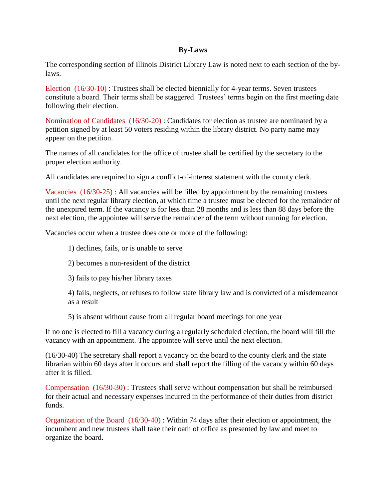### **By-Laws**

The corresponding section of Illinois District Library Law is noted next to each section of the bylaws.

Election (16/30-10) : Trustees shall be elected biennially for 4-year terms. Seven trustees constitute a board. Their terms shall be staggered. Trustees' terms begin on the first meeting date following their election.

Nomination of Candidates (16/30-20) : Candidates for election as trustee are nominated by a petition signed by at least 50 voters residing within the library district. No party name may appear on the petition.

The names of all candidates for the office of trustee shall be certified by the secretary to the proper election authority.

All candidates are required to sign a conflict-of-interest statement with the county clerk.

Vacancies (16/30-25) : All vacancies will be filled by appointment by the remaining trustees until the next regular library election, at which time a trustee must be elected for the remainder of the unexpired term. If the vacancy is for less than 28 months and is less than 88 days before the next election, the appointee will serve the remainder of the term without running for election.

Vacancies occur when a trustee does one or more of the following:

- 1) declines, fails, or is unable to serve
- 2) becomes a non-resident of the district
- 3) fails to pay his/her library taxes

4) fails, neglects, or refuses to follow state library law and is convicted of a misdemeanor as a result

5) is absent without cause from all regular board meetings for one year

If no one is elected to fill a vacancy during a regularly scheduled election, the board will fill the vacancy with an appointment. The appointee will serve until the next election.

(16/30-40) The secretary shall report a vacancy on the board to the county clerk and the state librarian within 60 days after it occurs and shall report the filling of the vacancy within 60 days after it is filled.

Compensation (16/30-30) : Trustees shall serve without compensation but shall be reimbursed for their actual and necessary expenses incurred in the performance of their duties from district funds.

Organization of the Board (16/30-40) : Within 74 days after their election or appointment, the incumbent and new trustees shall take their oath of office as presented by law and meet to organize the board.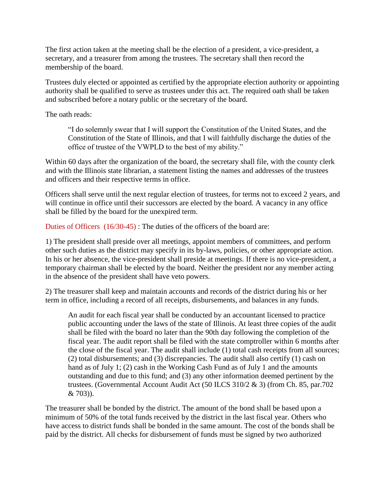The first action taken at the meeting shall be the election of a president, a vice-president, a secretary, and a treasurer from among the trustees. The secretary shall then record the membership of the board.

Trustees duly elected or appointed as certified by the appropriate election authority or appointing authority shall be qualified to serve as trustees under this act. The required oath shall be taken and subscribed before a notary public or the secretary of the board.

The oath reads:

"I do solemnly swear that I will support the Constitution of the United States, and the Constitution of the State of Illinois, and that I will faithfully discharge the duties of the office of trustee of the VWPLD to the best of my ability."

Within 60 days after the organization of the board, the secretary shall file, with the county clerk and with the Illinois state librarian, a statement listing the names and addresses of the trustees and officers and their respective terms in office.

Officers shall serve until the next regular election of trustees, for terms not to exceed 2 years, and will continue in office until their successors are elected by the board. A vacancy in any office shall be filled by the board for the unexpired term.

Duties of Officers (16/30-45) : The duties of the officers of the board are:

1) The president shall preside over all meetings, appoint members of committees, and perform other such duties as the district may specify in its by-laws, policies, or other appropriate action. In his or her absence, the vice-president shall preside at meetings. If there is no vice-president, a temporary chairman shall be elected by the board. Neither the president nor any member acting in the absence of the president shall have veto powers.

2) The treasurer shall keep and maintain accounts and records of the district during his or her term in office, including a record of all receipts, disbursements, and balances in any funds.

An audit for each fiscal year shall be conducted by an accountant licensed to practice public accounting under the laws of the state of Illinois. At least three copies of the audit shall be filed with the board no later than the 90th day following the completion of the fiscal year. The audit report shall be filed with the state comptroller within 6 months after the close of the fiscal year. The audit shall include (1) total cash receipts from all sources; (2) total disbursements; and (3) discrepancies. The audit shall also certify (1) cash on hand as of July 1; (2) cash in the Working Cash Fund as of July 1 and the amounts outstanding and due to this fund; and (3) any other information deemed pertinent by the trustees. (Governmental Account Audit Act (50 ILCS 310/2 & 3) (from Ch. 85, par.702 & 703)).

The treasurer shall be bonded by the district. The amount of the bond shall be based upon a minimum of 50% of the total funds received by the district in the last fiscal year. Others who have access to district funds shall be bonded in the same amount. The cost of the bonds shall be paid by the district. All checks for disbursement of funds must be signed by two authorized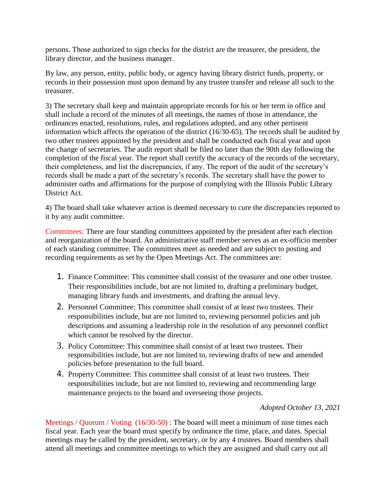persons. Those authorized to sign checks for the district are the treasurer, the president, the library director, and the business manager.

By law, any person, entity, public body, or agency having library district funds, property, or records in their possession must upon demand by any trustee transfer and release all such to the treasurer.

3) The secretary shall keep and maintain appropriate records for his or her term in office and shall include a record of the minutes of all meetings, the names of those in attendance, the ordinances enacted, resolutions, rules, and regulations adopted, and any other pertinent information which affects the operation of the district (16/30-65). The records shall be audited by two other trustees appointed by the president and shall be conducted each fiscal year and upon the change of secretaries. The audit report shall be filed no later than the 90th day following the completion of the fiscal year. The report shall certify the accuracy of the records of the secretary, their completeness, and list the discrepancies, if any. The report of the audit of the secretary's records shall be made a part of the secretary's records. The secretary shall have the power to administer oaths and affirmations for the purpose of complying with the Illinois Public Library District Act.

4) The board shall take whatever action is deemed necessary to cure the discrepancies reported to it by any audit committee.

Committees: There are four standing committees appointed by the president after each election and reorganization of the board. An administrative staff member serves as an ex-officio member of each standing committee. The committees meet as needed and are subject to posting and recording requirements as set by the Open Meetings Act. The committees are:

- 1. Finance Committee: This committee shall consist of the treasurer and one other trustee. Their responsibilities include, but are not limited to, drafting a preliminary budget, managing library funds and investments, and drafting the annual levy.
- 2. Personnel Committee: This committee shall consist of at least two trustees. Their responsibilities include, but are not limited to, reviewing personnel policies and job descriptions and assuming a leadership role in the resolution of any personnel conflict which cannot be resolved by the director.
- 3. Policy Committee: This committee shall consist of at least two trustees. Their responsibilities include, but are not limited to, reviewing drafts of new and amended policies before presentation to the full board.
- 4. Property Committee: This committee shall consist of at least two trustees. Their responsibilities include, but are not limited to, reviewing and recommending large maintenance projects to the board and overseeing those projects.

# *Adopted October 13, 2021*

Meetings / Quorum / Voting (16/30-50) : The board will meet a minimum of nine times each fiscal year. Each year the board must specify by ordinance the time, place, and dates. Special meetings may be called by the president, secretary, or by any 4 trustees. Board members shall attend all meetings and committee meetings to which they are assigned and shall carry out all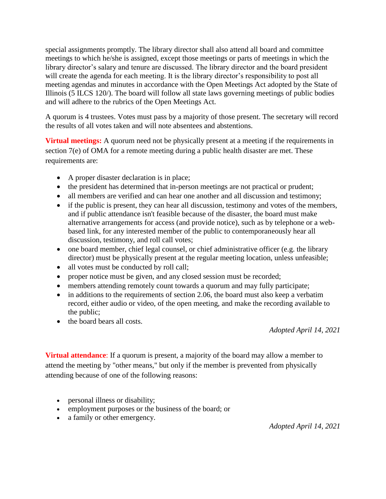special assignments promptly. The library director shall also attend all board and committee meetings to which he/she is assigned, except those meetings or parts of meetings in which the library director's salary and tenure are discussed. The library director and the board president will create the agenda for each meeting. It is the library director's responsibility to post all meeting agendas and minutes in accordance with the Open Meetings Act adopted by the State of Illinois (5 ILCS 120/). The board will follow all state laws governing meetings of public bodies and will adhere to the rubrics of the Open Meetings Act.

A quorum is 4 trustees. Votes must pass by a majority of those present. The secretary will record the results of all votes taken and will note absentees and abstentions.

**Virtual meetings:** A quorum need not be physically present at a meeting if the requirements in section 7(e) of OMA for a remote meeting during a public health disaster are met. These requirements are:

- A proper disaster declaration is in place;
- the president has determined that in-person meetings are not practical or prudent;
- all members are verified and can hear one another and all discussion and testimony;
- if the public is present, they can hear all discussion, testimony and votes of the members, and if public attendance isn't feasible because of the disaster, the board must make alternative arrangements for access (and provide notice), such as by telephone or a webbased link, for any interested member of the public to contemporaneously hear all discussion, testimony, and roll call votes;
- one board member, chief legal counsel, or chief administrative officer (e.g. the library director) must be physically present at the regular meeting location, unless unfeasible;
- all votes must be conducted by roll call;
- proper notice must be given, and any closed session must be recorded;
- members attending remotely count towards a quorum and may fully participate;
- $\bullet$  in additions to the requirements of section 2.06, the board must also keep a verbatim record, either audio or video, of the open meeting, and make the recording available to the public;
- the board bears all costs.

*Adopted April 14, 2021*

**Virtual attendance**: If a quorum is present, a majority of the board may allow a member to attend the meeting by "other means," but only if the member is prevented from physically attending because of one of the following reasons:

- personal illness or disability;
- employment purposes or the business of the board; or
- a family or other emergency.

*Adopted April 14, 2021*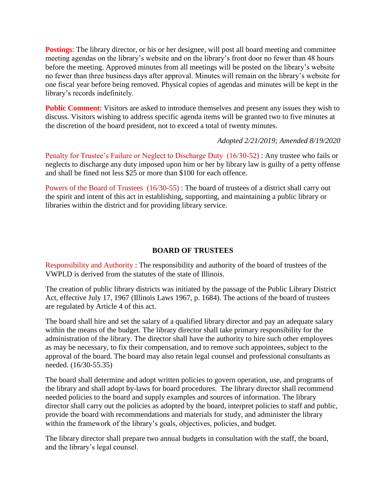**Postings**: The library director, or his or her designee, will post all board meeting and committee meeting agendas on the library's website and on the library's front door no fewer than 48 hours before the meeting. Approved minutes from all meetings will be posted on the library's website no fewer than three business days after approval. Minutes will remain on the library's website for one fiscal year before being removed. Physical copies of agendas and minutes will be kept in the library's records indefinitely.

**Public Comment**: Visitors are asked to introduce themselves and present any issues they wish to discuss. Visitors wishing to address specific agenda items will be granted two to five minutes at the discretion of the board president, not to exceed a total of twenty minutes.

#### *Adopted 2/21/2019; Amended 8/19/2020*

Penalty for Trustee's Failure or Neglect to Discharge Duty (16/30-52) : Any trustee who fails or neglects to discharge any duty imposed upon him or her by library law is guilty of a petty offense and shall be fined not less \$25 or more than \$100 for each offence.

Powers of the Board of Trustees (16/30-55) : The board of trustees of a district shall carry out the spirit and intent of this act in establishing, supporting, and maintaining a public library or libraries within the district and for providing library service.

### **BOARD OF TRUSTEES**

Responsibility and Authority : The responsibility and authority of the board of trustees of the VWPLD is derived from the statutes of the state of Illinois.

The creation of public library districts was initiated by the passage of the Public Library District Act, effective July 17, 1967 (Illinois Laws 1967, p. 1684). The actions of the board of trustees are regulated by Article 4 of this act.

The board shall hire and set the salary of a qualified library director and pay an adequate salary within the means of the budget. The library director shall take primary responsibility for the administration of the library. The director shall have the authority to hire such other employees as may be necessary, to fix their compensation, and to remove such appointees, subject to the approval of the board. The board may also retain legal counsel and professional consultants as needed. (16/30-55.35)

The board shall determine and adopt written policies to govern operation, use, and programs of the library and shall adopt by-laws for board procedures. The library director shall recommend needed policies to the board and supply examples and sources of information. The library director shall carry out the policies as adopted by the board, interpret policies to staff and public, provide the board with recommendations and materials for study, and administer the library within the framework of the library's goals, objectives, policies, and budget.

The library director shall prepare two annual budgets in consultation with the staff, the board, and the library's legal counsel.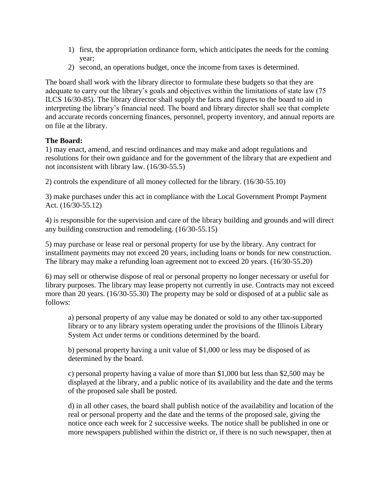- 1) first, the appropriation ordinance form, which anticipates the needs for the coming year;
- 2) second, an operations budget, once the income from taxes is determined.

The board shall work with the library director to formulate these budgets so that they are adequate to carry out the library's goals and objectives within the limitations of state law (75 ILCS 16/30-85). The library director shall supply the facts and figures to the board to aid in interpreting the library's financial need. The board and library director shall see that complete and accurate records concerning finances, personnel, property inventory, and annual reports are on file at the library.

# **The Board:**

1) may enact, amend, and rescind ordinances and may make and adopt regulations and resolutions for their own guidance and for the government of the library that are expedient and not inconsistent with library law. (16/30-55.5)

2) controls the expenditure of all money collected for the library. (16/30-55.10)

3) make purchases under this act in compliance with the Local Government Prompt Payment Act. (16/30-55.12)

4) is responsible for the supervision and care of the library building and grounds and will direct any building construction and remodeling. (16/30-55.15)

5) may purchase or lease real or personal property for use by the library. Any contract for installment payments may not exceed 20 years, including loans or bonds for new construction. The library may make a refunding loan agreement not to exceed 20 years. (16/30-55.20)

6) may sell or otherwise dispose of real or personal property no longer necessary or useful for library purposes. The library may lease property not currently in use. Contracts may not exceed more than 20 years. (16/30-55.30) The property may be sold or disposed of at a public sale as follows:

a) personal property of any value may be donated or sold to any other tax-supported library or to any library system operating under the provisions of the Illinois Library System Act under terms or conditions determined by the board.

b) personal property having a unit value of \$1,000 or less may be disposed of as determined by the board.

c) personal property having a value of more than \$1,000 but less than \$2,500 may be displayed at the library, and a public notice of its availability and the date and the terms of the proposed sale shall be posted.

d) in all other cases, the board shall publish notice of the availability and location of the real or personal property and the date and the terms of the proposed sale, giving the notice once each week for 2 successive weeks. The notice shall be published in one or more newspapers published within the district or, if there is no such newspaper, then at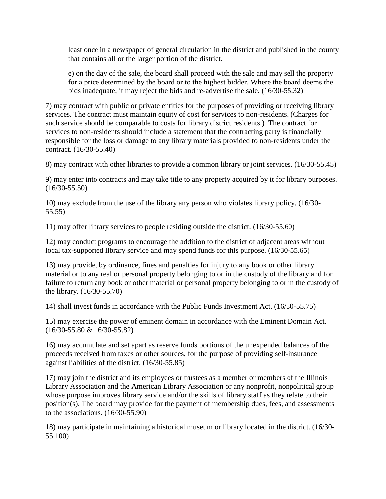least once in a newspaper of general circulation in the district and published in the county that contains all or the larger portion of the district.

e) on the day of the sale, the board shall proceed with the sale and may sell the property for a price determined by the board or to the highest bidder. Where the board deems the bids inadequate, it may reject the bids and re-advertise the sale. (16/30-55.32)

7) may contract with public or private entities for the purposes of providing or receiving library services. The contract must maintain equity of cost for services to non-residents. (Charges for such service should be comparable to costs for library district residents.) The contract for services to non-residents should include a statement that the contracting party is financially responsible for the loss or damage to any library materials provided to non-residents under the contract. (16/30-55.40)

8) may contract with other libraries to provide a common library or joint services. (16/30-55.45)

9) may enter into contracts and may take title to any property acquired by it for library purposes. (16/30-55.50)

10) may exclude from the use of the library any person who violates library policy. (16/30- 55.55)

11) may offer library services to people residing outside the district. (16/30-55.60)

12) may conduct programs to encourage the addition to the district of adjacent areas without local tax-supported library service and may spend funds for this purpose. (16/30-55.65)

13) may provide, by ordinance, fines and penalties for injury to any book or other library material or to any real or personal property belonging to or in the custody of the library and for failure to return any book or other material or personal property belonging to or in the custody of the library. (16/30-55.70)

14) shall invest funds in accordance with the Public Funds Investment Act. (16/30-55.75)

15) may exercise the power of eminent domain in accordance with the Eminent Domain Act. (16/30-55.80 & 16/30-55.82)

16) may accumulate and set apart as reserve funds portions of the unexpended balances of the proceeds received from taxes or other sources, for the purpose of providing self-insurance against liabilities of the district. (16/30-55.85)

17) may join the district and its employees or trustees as a member or members of the Illinois Library Association and the American Library Association or any nonprofit, nonpolitical group whose purpose improves library service and/or the skills of library staff as they relate to their position(s). The board may provide for the payment of membership dues, fees, and assessments to the associations. (16/30-55.90)

18) may participate in maintaining a historical museum or library located in the district. (16/30- 55.100)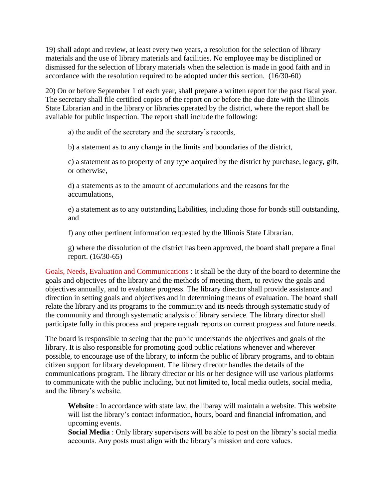19) shall adopt and review, at least every two years, a resolution for the selection of library materials and the use of library materials and facilities. No employee may be disciplined or dismissed for the selection of library materials when the selection is made in good faith and in accordance with the resolution required to be adopted under this section. (16/30-60)

20) On or before September 1 of each year, shall prepare a written report for the past fiscal year. The secretary shall file certified copies of the report on or before the due date with the Illinois State Librarian and in the library or libraries operated by the district, where the report shall be available for public inspection. The report shall include the following:

a) the audit of the secretary and the secretary's records,

b) a statement as to any change in the limits and boundaries of the district,

c) a statement as to property of any type acquired by the district by purchase, legacy, gift, or otherwise,

d) a statements as to the amount of accumulations and the reasons for the accumulations,

e) a statement as to any outstanding liabilities, including those for bonds still outstanding, and

f) any other pertinent information requested by the Illinois State Librarian.

g) where the dissolution of the district has been approved, the board shall prepare a final report. (16/30-65)

Goals, Needs, Evaluation and Communications : It shall be the duty of the board to determine the goals and objectives of the library and the methods of meeting them, to review the goals and objectives annually, and to evalutate progress. The library director shall provide assistance and direction in setting goals and objectives and in determining means of evaluation. The board shall relate the library and its programs to the community and its needs through systematic study of the community and through systematic analysis of library serviece. The library director shall participate fully in this process and prepare regualr reports on current progress and future needs.

The board is responsible to seeing that the public understands the objectives and goals of the library. It is also responsible for promoting good public relations whenever and wherever possible, to encourage use of the library, to inform the public of library programs, and to obtain citizen support for library development. The library direcotr handles the details of the communications program. The library director or his or her designee will use various platforms to communicate with the public including, but not limited to, local media outlets, social media, and the library's website.

**Website** : In accordance with state law, the libaray will maintain a website. This website will list the library's contact information, hours, board and financial infromation, and upcoming events.

**Social Media** : Only library supervisors will be able to post on the library's social media accounts. Any posts must align with the library's mission and core values.